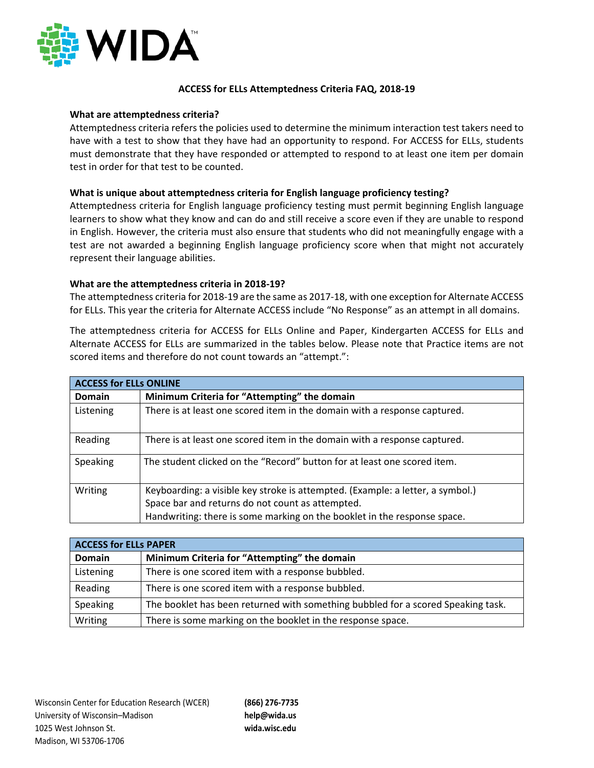

## **ACCESS for ELLs Attemptedness Criteria FAQ, 2018-19**

#### **What are attemptedness criteria?**

Attemptedness criteria refers the policies used to determine the minimum interaction test takers need to have with a test to show that they have had an opportunity to respond. For ACCESS for ELLs, students must demonstrate that they have responded or attempted to respond to at least one item per domain test in order for that test to be counted.

### **What is unique about attemptedness criteria for English language proficiency testing?**

Attemptedness criteria for English language proficiency testing must permit beginning English language learners to show what they know and can do and still receive a score even if they are unable to respond in English. However, the criteria must also ensure that students who did not meaningfully engage with a test are not awarded a beginning English language proficiency score when that might not accurately represent their language abilities.

### **What are the attemptedness criteria in 2018-19?**

The attemptedness criteria for 2018-19 are the same as 2017-18, with one exception for Alternate ACCESS for ELLs. This year the criteria for Alternate ACCESS include "No Response" as an attempt in all domains.

The attemptedness criteria for ACCESS for ELLs Online and Paper, Kindergarten ACCESS for ELLs and Alternate ACCESS for ELLs are summarized in the tables below. Please note that Practice items are not scored items and therefore do not count towards an "attempt.":

| <b>ACCESS for ELLs ONLINE</b> |                                                                                |  |
|-------------------------------|--------------------------------------------------------------------------------|--|
| <b>Domain</b>                 | Minimum Criteria for "Attempting" the domain                                   |  |
| Listening                     | There is at least one scored item in the domain with a response captured.      |  |
| Reading                       | There is at least one scored item in the domain with a response captured.      |  |
| Speaking                      | The student clicked on the "Record" button for at least one scored item.       |  |
| Writing                       | Keyboarding: a visible key stroke is attempted. (Example: a letter, a symbol.) |  |
|                               | Space bar and returns do not count as attempted.                               |  |
|                               | Handwriting: there is some marking on the booklet in the response space.       |  |

| <b>ACCESS for ELLs PAPER</b> |                                                                                  |  |
|------------------------------|----------------------------------------------------------------------------------|--|
| Domain                       | Minimum Criteria for "Attempting" the domain                                     |  |
| Listening                    | There is one scored item with a response bubbled.                                |  |
| Reading                      | There is one scored item with a response bubbled.                                |  |
| Speaking                     | The booklet has been returned with something bubbled for a scored Speaking task. |  |
| Writing                      | There is some marking on the booklet in the response space.                      |  |